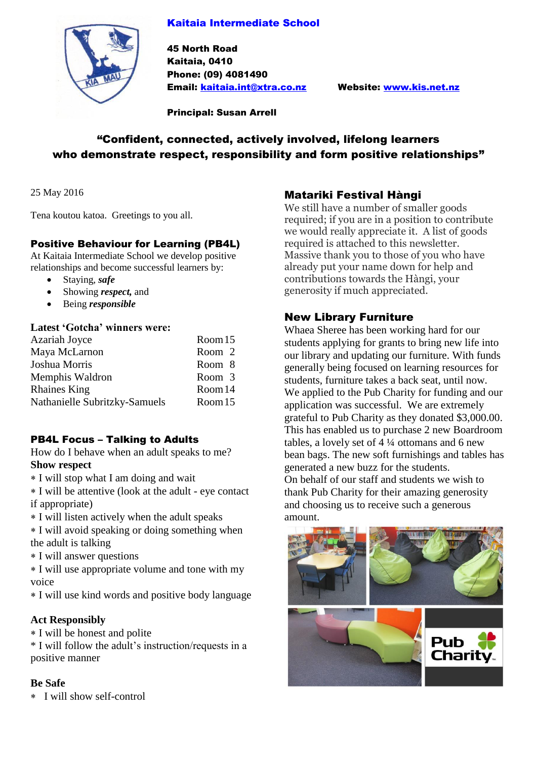## Kaitaia Intermediate School



45 North Road Kaitaia, 0410 Phone: (09) 4081490 Email: [kaitaia.int@xtra.co.nz](mailto:kaitaia.int@xtra.co.nz) Website: [www.kis.net.nz](http://www.kis.net.nz/)

Principal: Susan Arrell

# "Confident, connected, actively involved, lifelong learners who demonstrate respect, responsibility and form positive relationships"

25 May 2016

Tena koutou katoa. Greetings to you all.

## Positive Behaviour for Learning (PB4L)

At Kaitaia Intermediate School we develop positive relationships and become successful learners by:

- Staying, *safe*
- Showing *respect,* and
- Being *responsible*

#### **Latest 'Gotcha' winners were:**

| Room 15 |
|---------|
| Room 2  |
| Room 8  |
| Room 3  |
| Room 14 |
| Room 15 |
|         |

### PB4L Focus – Talking to Adults

How do I behave when an adult speaks to me? **Show respect**

I will stop what I am doing and wait

 I will be attentive (look at the adult - eye contact if appropriate)

I will listen actively when the adult speaks

 I will avoid speaking or doing something when the adult is talking

I will answer questions

 I will use appropriate volume and tone with my voice

I will use kind words and positive body language

### **Act Responsibly**

I will be honest and polite

\* I will follow the adult's instruction/requests in a positive manner

#### **Be Safe**

I will show self-control

## Matariki Festival Hàngi

We still have a number of smaller goods required; if you are in a position to contribute we would really appreciate it. A list of goods required is attached to this newsletter. Massive thank you to those of you who have already put your name down for help and contributions towards the Hàngi, your generosity if much appreciated.

## New Library Furniture

Whaea Sheree has been working hard for our students applying for grants to bring new life into our library and updating our furniture. With funds generally being focused on learning resources for students, furniture takes a back seat, until now. We applied to the Pub Charity for funding and our application was successful. We are extremely grateful to Pub Charity as they donated \$3,000.00. This has enabled us to purchase 2 new Boardroom tables, a lovely set of 4 ¼ ottomans and 6 new bean bags. The new soft furnishings and tables has generated a new buzz for the students. On behalf of our staff and students we wish to thank Pub Charity for their amazing generosity and choosing us to receive such a generous amount.